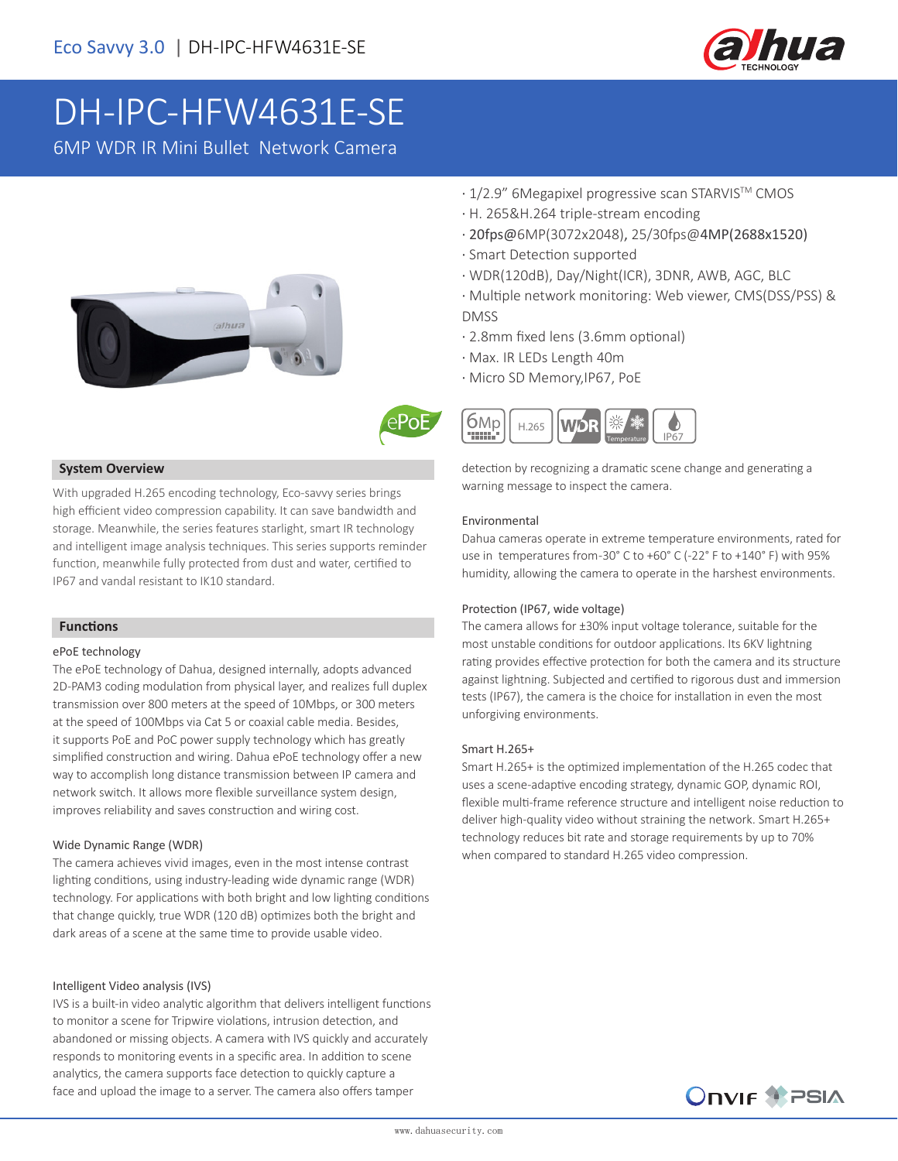

# DH-IPC-HFW4631E-SE

6MP WDR IR Mini Bullet Network Camera





#### **System Overview**

With upgraded H.265 encoding technology, Eco-savvy series brings high efficient video compression capability. It can save bandwidth and storage. Meanwhile, the series features starlight, smart IR technology and intelligent image analysis techniques. This series supports reminder function, meanwhile fully protected from dust and water, certified to IP67 and vandal resistant to IK10 standard.

#### **Functions**

#### ePoE technology

The ePoE technology of Dahua, designed internally, adopts advanced 2D-PAM3 coding modulation from physical layer, and realizes full duplex transmission over 800 meters at the speed of 10Mbps, or 300 meters at the speed of 100Mbps via Cat 5 or coaxial cable media. Besides, it supports PoE and PoC power supply technology which has greatly simplified construction and wiring. Dahua ePoE technology offer a new way to accomplish long distance transmission between IP camera and network switch. It allows more flexible surveillance system design, improves reliability and saves construction and wiring cost.

#### Wide Dynamic Range (WDR)

The camera achieves vivid images, even in the most intense contrast lighting conditions, using industry-leading wide dynamic range (WDR) technology. For applications with both bright and low lighting conditions that change quickly, true WDR (120 dB) optimizes both the bright and dark areas of a scene at the same time to provide usable video.

#### Intelligent Video analysis (IVS)

IVS is a built-in video analytic algorithm that delivers intelligent functions to monitor a scene for Tripwire violations, intrusion detection, and abandoned or missing objects. A camera with IVS quickly and accurately responds to monitoring events in a specific area. In addition to scene analytics, the camera supports face detection to quickly capture a face and upload the image to a server. The camera also offers tamper

- · 1/2.9" 6Megapixel progressive scan STARVISTM CMOS
- · H. 265&H.264 triple-stream encoding
- · 20fps@6MP(3072x2048), 25/30fps@4MP(2688x1520)
- · Smart Detection supported
- · WDR(120dB), Day/Night(ICR), 3DNR, AWB, AGC, BLC
- · Multiple network monitoring: Web viewer, CMS(DSS/PSS) & DMSS
- · 2.8mm fixed lens (3.6mm optional)
- · Max. IR LEDs Length 40m
- · Micro SD Memory,IP67, PoE



detection by recognizing a dramatic scene change and generating a warning message to inspect the camera.

#### Environmental

Dahua cameras operate in extreme temperature environments, rated for use in temperatures from -30° C to +60° C (-22° F to +140° F) with 95% humidity, allowing the camera to operate in the harshest environments.

#### Protection (IP67, wide voltage)

The camera allows for ±30% input voltage tolerance, suitable for the most unstable conditions for outdoor applications. Its 6KV lightning rating provides effective protection for both the camera and its structure against lightning. Subjected and certified to rigorous dust and immersion tests (IP67), the camera is the choice for installation in even the most unforgiving environments.

#### Smart H.265+

Smart H.265+ is the optimized implementation of the H.265 codec that uses a scene-adaptive encoding strategy, dynamic GOP, dynamic ROI, flexible multi-frame reference structure and intelligent noise reduction to deliver high-quality video without straining the network. Smart H.265+ technology reduces bit rate and storage requirements by up to 70% when compared to standard H.265 video compression.

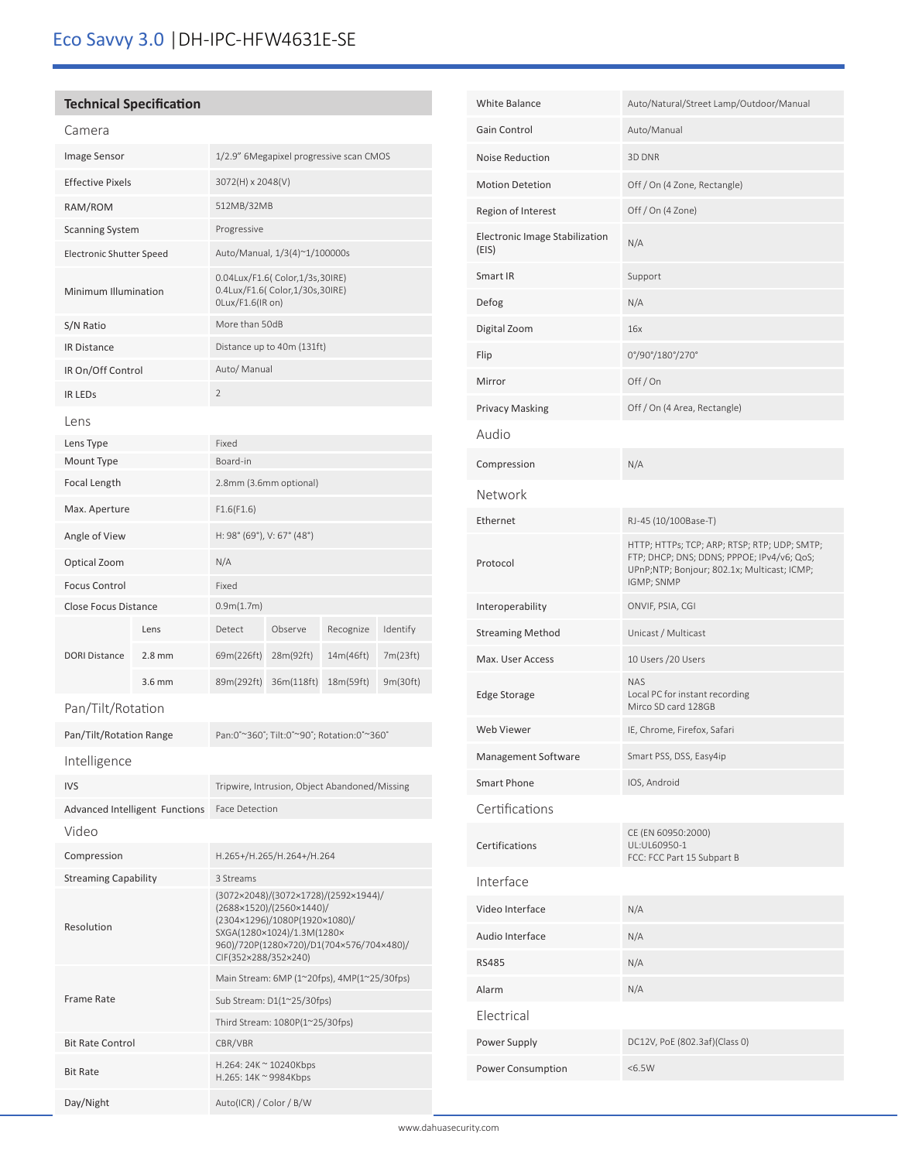# **Technical Specification**

|--|--|

| Image Sensor                    |                                               | 1/2.9" 6Megapixel progressive scan CMOS                                                                                                                                                             |            |           |          |  |
|---------------------------------|-----------------------------------------------|-----------------------------------------------------------------------------------------------------------------------------------------------------------------------------------------------------|------------|-----------|----------|--|
| <b>Effective Pixels</b>         |                                               | 3072(H) x 2048(V)                                                                                                                                                                                   |            |           |          |  |
| RAM/ROM                         |                                               | 512MB/32MB                                                                                                                                                                                          |            |           |          |  |
| <b>Scanning System</b>          |                                               | Progressive                                                                                                                                                                                         |            |           |          |  |
| <b>Electronic Shutter Speed</b> |                                               | Auto/Manual, 1/3(4)~1/100000s                                                                                                                                                                       |            |           |          |  |
| Minimum Illumination            |                                               | 0.04Lux/F1.6( Color,1/3s,30IRE)<br>0.4Lux/F1.6( Color,1/30s,30IRE)<br>OLux/F1.6(IR on)                                                                                                              |            |           |          |  |
| S/N Ratio                       |                                               | More than 50dB                                                                                                                                                                                      |            |           |          |  |
| <b>IR Distance</b>              |                                               | Distance up to 40m (131ft)                                                                                                                                                                          |            |           |          |  |
| IR On/Off Control               |                                               | Auto/ Manual                                                                                                                                                                                        |            |           |          |  |
| <b>IR LEDS</b>                  |                                               | $\overline{2}$                                                                                                                                                                                      |            |           |          |  |
| Lens                            |                                               |                                                                                                                                                                                                     |            |           |          |  |
| Lens Type                       |                                               | Fixed                                                                                                                                                                                               |            |           |          |  |
| Mount Type                      |                                               | Board-in                                                                                                                                                                                            |            |           |          |  |
| Focal Length                    |                                               | 2.8mm (3.6mm optional)                                                                                                                                                                              |            |           |          |  |
| Max. Aperture                   |                                               | F1.6(F1.6)                                                                                                                                                                                          |            |           |          |  |
| Angle of View                   |                                               | H: 98° (69°), V: 67° (48°)                                                                                                                                                                          |            |           |          |  |
| Optical Zoom                    |                                               | N/A                                                                                                                                                                                                 |            |           |          |  |
| <b>Focus Control</b>            |                                               | Fixed                                                                                                                                                                                               |            |           |          |  |
| Close Focus Distance            |                                               | 0.9m(1.7m)                                                                                                                                                                                          |            |           |          |  |
|                                 | Lens                                          | Detect                                                                                                                                                                                              | Observe    | Recognize | Identify |  |
| <b>DORI Distance</b>            | $2.8$ mm                                      | 69m(226ft)                                                                                                                                                                                          | 28m(92ft)  | 14m(46ft) | 7m(23ft) |  |
|                                 | $3.6$ mm                                      | 89m(292ft)                                                                                                                                                                                          | 36m(118ft) | 18m(59ft) | 9m(30ft) |  |
| Pan/Tilt/Rotation               |                                               |                                                                                                                                                                                                     |            |           |          |  |
| Pan/Tilt/Rotation Range         |                                               | Pan:0°~360°; Tilt:0°~90°; Rotation:0°~360°                                                                                                                                                          |            |           |          |  |
| Intelligence                    |                                               |                                                                                                                                                                                                     |            |           |          |  |
| <b>IVS</b>                      |                                               | Tripwire, Intrusion, Object Abandoned/Missing                                                                                                                                                       |            |           |          |  |
|                                 | Advanced Intelligent Functions Face Detection |                                                                                                                                                                                                     |            |           |          |  |
| Video                           |                                               |                                                                                                                                                                                                     |            |           |          |  |
| Compression                     |                                               | H.265+/H.265/H.264+/H.264                                                                                                                                                                           |            |           |          |  |
| <b>Streaming Capability</b>     |                                               | 3 Streams                                                                                                                                                                                           |            |           |          |  |
| Resolution                      |                                               | (3072×2048)/(3072×1728)/(2592×1944)/<br>(2688×1520)/(2560×1440)/<br>(2304×1296)/1080P(1920×1080)/<br>SXGA(1280×1024)/1.3M(1280×<br>960)/720P(1280×720)/D1(704×576/704×480)/<br>CIF(352×288/352×240) |            |           |          |  |
|                                 |                                               | Main Stream: 6MP (1~20fps), 4MP(1~25/30fps)                                                                                                                                                         |            |           |          |  |
| <b>Frame Rate</b>               |                                               | Sub Stream: D1(1~25/30fps)                                                                                                                                                                          |            |           |          |  |
|                                 |                                               | Third Stream: 1080P(1~25/30fps)                                                                                                                                                                     |            |           |          |  |
| <b>Bit Rate Control</b>         |                                               | CBR/VBR                                                                                                                                                                                             |            |           |          |  |
| <b>Bit Rate</b>                 |                                               | H.264: 24K ~ 10240Kbps<br>H.265: 14K ~ 9984Kbps                                                                                                                                                     |            |           |          |  |
| Day/Night                       |                                               | Auto(ICR) / Color / B/W                                                                                                                                                                             |            |           |          |  |

| <b>White Balance</b>                    | Auto/Natural/Street Lamp/Outdoor/Manual                                                                                                                 |  |  |  |
|-----------------------------------------|---------------------------------------------------------------------------------------------------------------------------------------------------------|--|--|--|
| Gain Control                            | Auto/Manual                                                                                                                                             |  |  |  |
| <b>Noise Reduction</b>                  | 3D DNR                                                                                                                                                  |  |  |  |
| <b>Motion Detetion</b>                  | Off / On (4 Zone, Rectangle)                                                                                                                            |  |  |  |
| Region of Interest                      | Off / On (4 Zone)                                                                                                                                       |  |  |  |
| Electronic Image Stabilization<br>(EIS) | N/A                                                                                                                                                     |  |  |  |
| Smart IR                                | Support                                                                                                                                                 |  |  |  |
| Defog                                   | N/A                                                                                                                                                     |  |  |  |
| Digital Zoom                            | 16x                                                                                                                                                     |  |  |  |
| Flip                                    | 0°/90°/180°/270°                                                                                                                                        |  |  |  |
| Mirror                                  | Off/On                                                                                                                                                  |  |  |  |
| <b>Privacy Masking</b>                  | Off / On (4 Area, Rectangle)                                                                                                                            |  |  |  |
| Audio                                   |                                                                                                                                                         |  |  |  |
| Compression                             | N/A                                                                                                                                                     |  |  |  |
| Network                                 |                                                                                                                                                         |  |  |  |
| Ethernet                                | RJ-45 (10/100Base-T)                                                                                                                                    |  |  |  |
| Protocol                                | HTTP; HTTPs; TCP; ARP; RTSP; RTP; UDP; SMTP;<br>FTP; DHCP; DNS; DDNS; PPPOE; IPv4/v6; QoS;<br>UPnP;NTP; Bonjour; 802.1x; Multicast; ICMP;<br>IGMP; SNMP |  |  |  |
| Interoperability                        | ONVIF, PSIA, CGI                                                                                                                                        |  |  |  |
| <b>Streaming Method</b>                 | Unicast / Multicast                                                                                                                                     |  |  |  |
| Max. User Access                        | 10 Users / 20 Users                                                                                                                                     |  |  |  |
| <b>Edge Storage</b>                     | NAS<br>Local PC for instant recording<br>Mirco SD card 128GB                                                                                            |  |  |  |
| Web Viewer                              | IE, Chrome, Firefox, Safari                                                                                                                             |  |  |  |
| Management Software                     | Smart PSS, DSS, Easy4ip                                                                                                                                 |  |  |  |
| Smart Phone                             | IOS, Android                                                                                                                                            |  |  |  |
| Certifications                          |                                                                                                                                                         |  |  |  |
| Certifications                          | CE (EN 60950:2000)<br>UL:UL60950-1<br>FCC: FCC Part 15 Subpart B                                                                                        |  |  |  |
| Interface                               |                                                                                                                                                         |  |  |  |
| Video Interface                         | N/A                                                                                                                                                     |  |  |  |
| Audio Interface                         | N/A                                                                                                                                                     |  |  |  |
| <b>RS485</b>                            | N/A                                                                                                                                                     |  |  |  |
| Alarm                                   | N/A                                                                                                                                                     |  |  |  |
| Electrical                              |                                                                                                                                                         |  |  |  |
| Power Supply                            | DC12V, PoE (802.3af)(Class 0)                                                                                                                           |  |  |  |
| Power Consumption                       | < 6.5W                                                                                                                                                  |  |  |  |